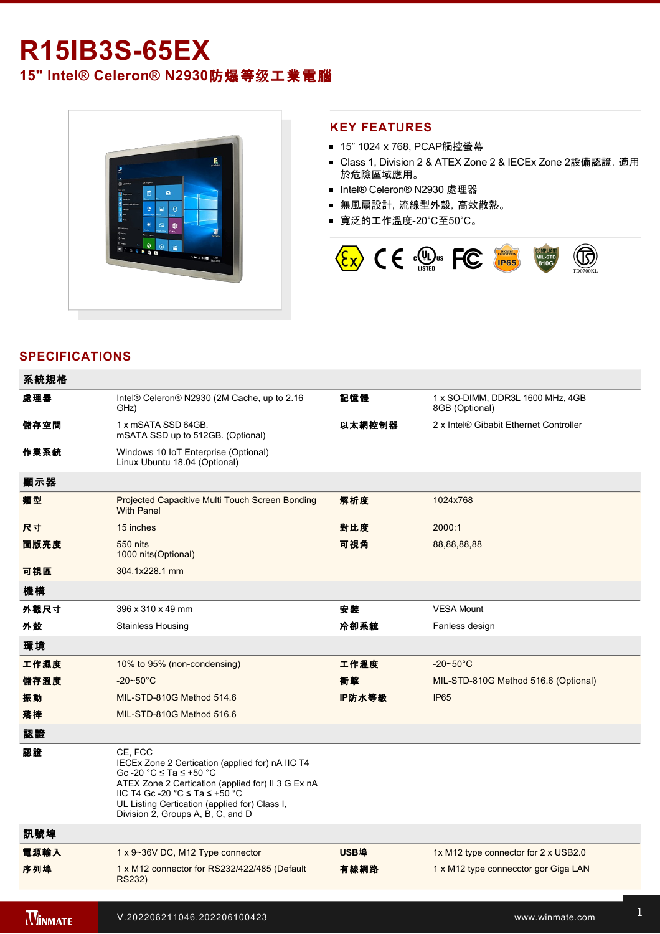# **R15IB3S-65EX**

**15" Intel® Celeron® N2930**防爆等级工業電腦



#### **KEY FEATURES**

- 15" 1024 x 768, PCAP觸控螢幕
- Class 1, Division 2 & ATEX Zone 2 & IECEx Zone 2設備認證, 適用 於危險區域應用。
- Intel® Celeron® N2930 處理器
- 無風扇設計, 流線型外殼, 高效散熱。
- 寬泛的工作溫度-20℃至50℃。



# **SPECIFICATIONS**

| 系統規格           |                                                                                                                                                                                                                                                                                                            |             |                                                    |
|----------------|------------------------------------------------------------------------------------------------------------------------------------------------------------------------------------------------------------------------------------------------------------------------------------------------------------|-------------|----------------------------------------------------|
| 處理器            | Intel® Celeron® N2930 (2M Cache, up to 2.16<br>GHz)                                                                                                                                                                                                                                                        | 記憶體         | 1 x SO-DIMM, DDR3L 1600 MHz, 4GB<br>8GB (Optional) |
| 儲存空間           | 1 x mSATA SSD 64GB.<br>mSATA SSD up to 512GB. (Optional)                                                                                                                                                                                                                                                   | 以太網控制器      | 2 x Intel® Gibabit Ethernet Controller             |
| 作業系統           | Windows 10 IoT Enterprise (Optional)<br>Linux Ubuntu 18.04 (Optional)                                                                                                                                                                                                                                      |             |                                                    |
| 顯示器            |                                                                                                                                                                                                                                                                                                            |             |                                                    |
| 類型             | Projected Capacitive Multi Touch Screen Bonding<br><b>With Panel</b>                                                                                                                                                                                                                                       | 解析度         | 1024x768                                           |
| 尺寸             | 15 inches                                                                                                                                                                                                                                                                                                  | 對比度         | 2000:1                                             |
| 面版亮度           | 550 nits<br>1000 nits (Optional)                                                                                                                                                                                                                                                                           | 可視角         | 88,88,88,88                                        |
| 可視區            | 304.1x228.1 mm                                                                                                                                                                                                                                                                                             |             |                                                    |
| 機構             |                                                                                                                                                                                                                                                                                                            |             |                                                    |
| 外觀尺寸           | 396 x 310 x 49 mm                                                                                                                                                                                                                                                                                          | 安装          | <b>VESA Mount</b>                                  |
| 外殼             | <b>Stainless Housing</b>                                                                                                                                                                                                                                                                                   | 冷卻系統        | Fanless design                                     |
| 環境             |                                                                                                                                                                                                                                                                                                            |             |                                                    |
| 工作濕度           | 10% to 95% (non-condensing)                                                                                                                                                                                                                                                                                | 工作溫度        | $-20 \sim 50^{\circ}$ C                            |
| 儲存溫度           | $-20 - 50^{\circ}$ C                                                                                                                                                                                                                                                                                       | 衝擊          | MIL-STD-810G Method 516.6 (Optional)               |
| 振動             | MIL-STD-810G Method 514.6                                                                                                                                                                                                                                                                                  | IP防水等級      | <b>IP65</b>                                        |
| 落摔             | MIL-STD-810G Method 516.6                                                                                                                                                                                                                                                                                  |             |                                                    |
| 認證             |                                                                                                                                                                                                                                                                                                            |             |                                                    |
| 認證             | CE. FCC<br>IECEx Zone 2 Certication (applied for) nA IIC T4<br>Gc -20 $^{\circ}$ C $\le$ Ta $\le$ +50 $^{\circ}$ C<br>ATEX Zone 2 Certication (applied for) II 3 G Ex nA<br>IIC T4 Gc -20 °C $\leq$ Ta $\leq$ +50 °C<br>UL Listing Certication (applied for) Class I,<br>Division 2, Groups A, B, C, and D |             |                                                    |
| 訊號埠            |                                                                                                                                                                                                                                                                                                            |             |                                                    |
| 電源輸入           | 1 x 9~36V DC, M12 Type connector                                                                                                                                                                                                                                                                           | <b>USB埠</b> | 1x M12 type connector for 2 x USB2.0               |
| 序列埠            | 1 x M12 connector for RS232/422/485 (Default<br>RS232)                                                                                                                                                                                                                                                     | 有線網路        | 1 x M12 type connecctor gor Giga LAN               |
|                |                                                                                                                                                                                                                                                                                                            |             |                                                    |
| <b>WINMATE</b> | V.202206211046.202206100423                                                                                                                                                                                                                                                                                |             | www.winmate.com                                    |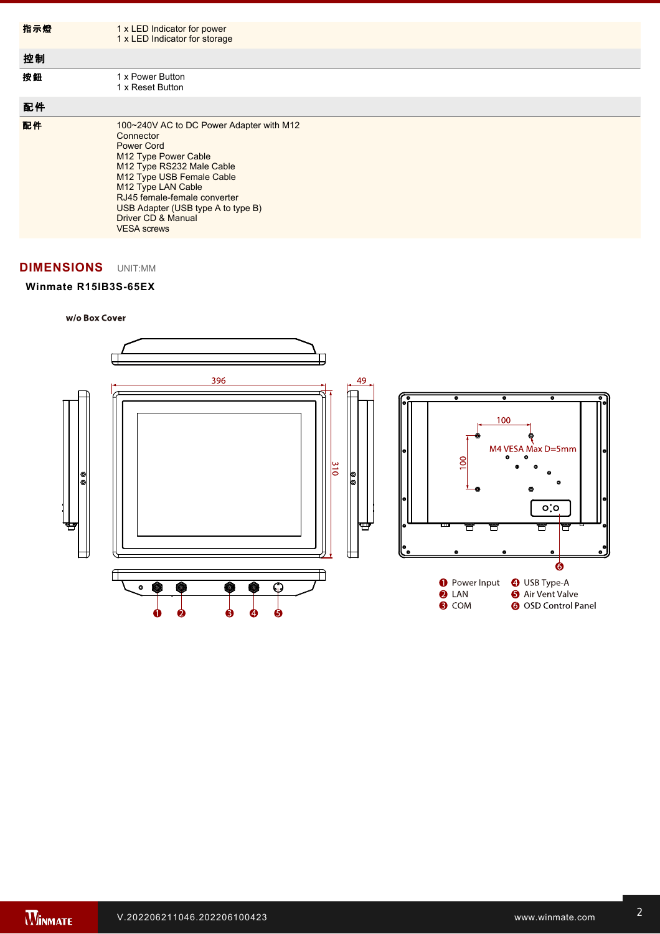| 指示燈 | 1 x LED Indicator for power<br>1 x LED Indicator for storage                                                                                                                                                                                                                                         |
|-----|------------------------------------------------------------------------------------------------------------------------------------------------------------------------------------------------------------------------------------------------------------------------------------------------------|
| 控制  |                                                                                                                                                                                                                                                                                                      |
| 按鈕  | 1 x Power Button<br>1 x Reset Button                                                                                                                                                                                                                                                                 |
| 配件  |                                                                                                                                                                                                                                                                                                      |
| 配件  | 100~240V AC to DC Power Adapter with M12<br>Connector<br><b>Power Cord</b><br>M12 Type Power Cable<br>M12 Type RS232 Male Cable<br>M12 Type USB Female Cable<br>M12 Type LAN Cable<br>RJ45 female-female converter<br>USB Adapter (USB type A to type B)<br>Driver CD & Manual<br><b>VESA</b> screws |

 $\mathbf{f}(\mathbf{x}) = \mathbf{f}(\mathbf{x})$  type connection gor  $\mathbf{f}(\mathbf{x})$ 

# **DIMENSIONS**  UNIT:MM

## **Winmate R15IB3S-65EX**

 $\mathcal{R}(\mathcal{A})$  and  $\mathcal{R}(\mathcal{A})$  and  $\mathcal{R}(\mathcal{A})$  and  $\mathcal{R}(\mathcal{A})$ 

w/o Box Cover